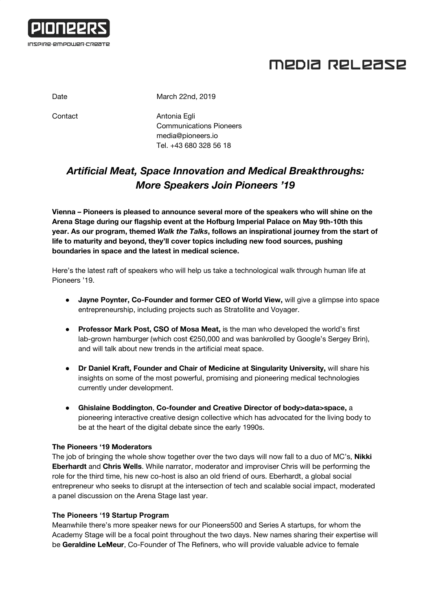

# MEDIA RELEASE

Date March 22nd, 2019

Contact **Antonia Egli** Communications Pioneers [media@pioneers.io](mailto:media@pioneers.io) Tel. +43 680 328 56 18

## *Artificial Meat, Space Innovation and Medical Breakthroughs: More Speakers Join Pioneers '19*

**Vienna – Pioneers is pleased to announce several more of the speakers who will shine on the Arena Stage during our flagship event at the Hofburg Imperial Palace on May 9th-10th this year. As our program, themed** *Walk the Talks***, follows an inspirational journey from the start of life to maturity and beyond, they'll cover topics including new food sources, pushing boundaries in space and the latest in medical science.**

Here's the latest raft of speakers who will help us take a technological walk through human life at Pioneers '19.

- **Jayne Poynter, Co-Founder and former CEO of World View,** will give a glimpse into space entrepreneurship, including projects such as Stratollite and Voyager.
- **Professor Mark Post, CSO of Mosa Meat,** is the man who developed the world's first lab-grown hamburger (which cost €250,000 and was bankrolled by Google's Sergey Brin), and will talk about new trends in the artificial meat space.
- **Dr Daniel Kraft, Founder and Chair of Medicine at Singularity University,** will share his insights on some of the most powerful, promising and pioneering medical technologies currently under development.
- **Ghislaine Boddington**, **Co-founder and Creative Director of body>data>space,** a pioneering interactive creative design collective which has advocated for the living body to be at the heart of the digital debate since the early 1990s.

### **The Pioneers '19 Moderators**

The job of bringing the whole show together over the two days will now fall to a duo of MC's, **Nikki Eberhardt** and **Chris Wells**. While narrator, moderator and improviser Chris will be performing the role for the third time, his new co-host is also an old friend of ours. Eberhardt, a global social entrepreneur who seeks to disrupt at the intersection of tech and scalable social impact, moderated a panel discussion on the Arena Stage last year.

### **The Pioneers '19 Startup Program**

Meanwhile there's more speaker news for our Pioneers500 and Series A startups, for whom the Academy Stage will be a focal point throughout the two days. New names sharing their expertise will be **Geraldine LeMeur**, Co-Founder of The Refiners, who will provide valuable advice to female